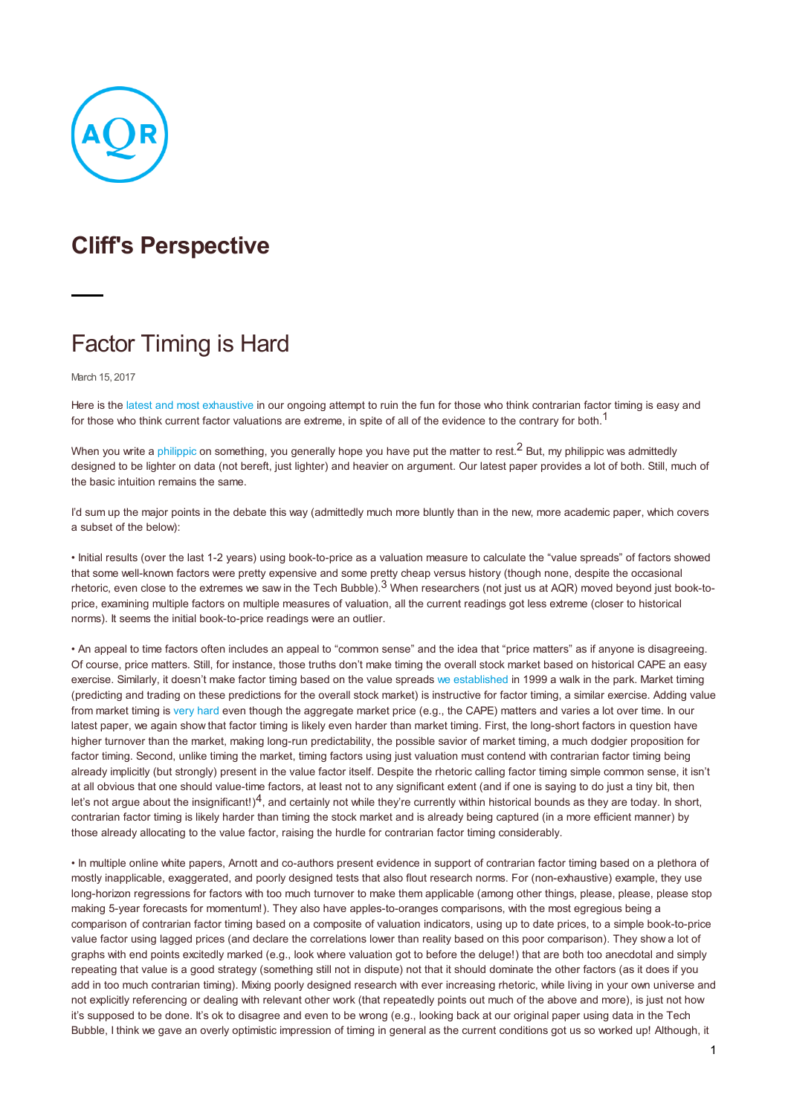

## **Cliff's Perspective**

## Factor Timing is Hard

March 15, 2017

Here is the latest and most [exhaustive](/library/journal-articles/contrarian-factor-timing-is-deceptively-difficult) in our ongoing attempt to ruin the fun for those who think contrarian factor timing is easy and for those who think current factor valuations are extreme, in spite of all of the evidence to the contrary for both.<sup>1</sup>

When you write a [philippic](https://papers.ssrn.com/sol3/papers.cfm?abstract_id=2799441) on something, you generally hope you have put the matter to rest.<sup>2</sup> But, mv philippic was admittedly designed to be lighter on data (not bereft, just lighter) and heavier on argument. Our latest paper provides a lot of both. Still, much of the basic intuition remains the same.

I'd sum up the major points in the debate this way (admittedly much more bluntly than in the new, more academic paper, which covers a subset of the below):

• Initial results (over the last 1-2 years) using book-to-price as a valuation measure to calculate the "value spreads" of factors showed that some well-known factors were pretty expensive and some pretty cheap versus history (though none, despite the occasional rhetoric, even close to the extremes we saw in the Tech Bubble).<sup>3</sup> When researchers (not just us at AQR) moved beyond just book-toprice, examining multiple factors on multiple measures of valuation, all the current readings got less extreme (closer to historical norms). It seems the initial book-to-price readings were an outlier.

• An appeal to time factors often includes an appeal to "common sense" and the idea that "price matters" as if anyone is disagreeing. Of course, price matters. Still, for instance, those truths don't make timing the overall stock market based on historical CAPE an easy exercise. Similarly, it doesn't make factor timing based on the value spreads we [established](/library/journal-articles/style-timing-value-vs-growth) in 1999 a walk in the park. Market timing (predicting and trading on these predictions for the overall stock market) is instructive for factor timing, a similar exercise. Adding value from market timing is very [hard](/library/books-periodicals/back-in-the-hunt) even though the aggregate market price (e.g., the CAPE) matters and varies a lot over time. In our latest paper, we again show that factor timing is likely even harder than market timing. First, the long-short factors in question have higher turnover than the market, making long-run predictability, the possible savior of market timing, a much dodgier proposition for factor timing. Second, unlike timing the market, timing factors using just valuation must contend with contrarian factor timing being already implicitly (but strongly) present in the value factor itself. Despite the rhetoric calling factor timing simple common sense, it isn't at all obvious that one should value-time factors, at least not to any significant extent (and if one is saying to do just a tiny bit, then let's not argue about the insignificant!) $4$ , and certainly not while they're currently within historical bounds as they are today. In short, contrarian factor timing is likely harder than timing the stock market and is already being captured (in a more efficient manner) by those already allocating to the value factor, raising the hurdle for contrarian factor timing considerably.

• In multiple online white papers, Arnott and co-authors present evidence in support of contrarian factor timing based on a plethora of mostly inapplicable, exaggerated, and poorly designed tests that also flout research norms. For (non-exhaustive) example, they use long-horizon regressions for factors with too much turnover to make them applicable (among other things, please, please, please stop making 5-year forecasts for momentum!). They also have apples-to-oranges comparisons, with the most egregious being a comparison of contrarian factor timing based on a composite of valuation indicators, using up to date prices, to a simple book-to-price value factor using lagged prices (and declare the correlations lower than reality based on this poor comparison). They show a lot of graphs with end points excitedly marked (e.g., look where valuation got to before the deluge!) that are both too anecdotal and simply repeating that value is a good strategy (something still not in dispute) not that it should dominate the other factors (as it does if you add in too much contrarian timing). Mixing poorly designed research with ever increasing rhetoric, while living in your own universe and not explicitly referencing or dealing with relevant other work (that repeatedly points out much of the above and more), is just not how it's supposed to be done. It's ok to disagree and even to be wrong (e.g., looking back at our original paper using data in the Tech Bubble, I think we gave an overly optimistic impression of timing in general as the current conditions got us so worked up! Although, it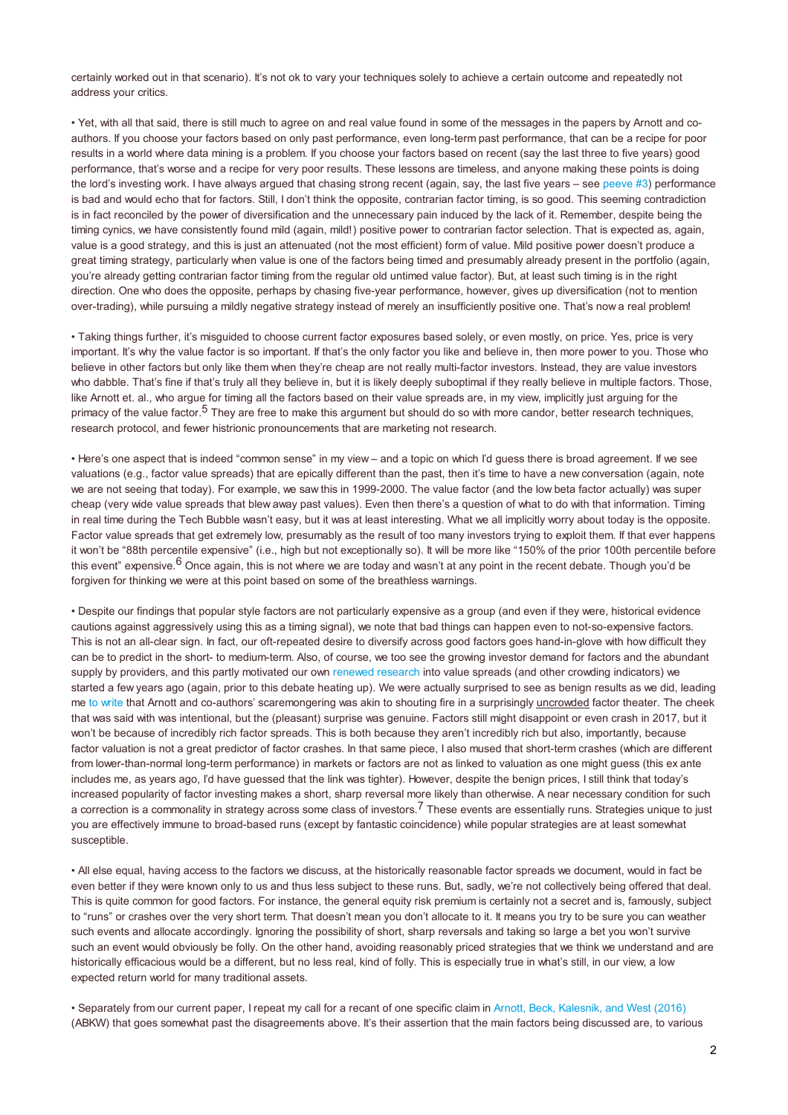certainly worked out in that scenario). It's not ok to vary your techniques solely to achieve a certain outcome and repeatedly not address your critics.

• Yet, with all that said, there is still much to agree on and real value found in some of the messages in the papers by Arnott and coauthors. If you choose your factors based on only past performance, even long-term past performance, that can be a recipe for poor results in a world where data mining is a problem. If you choose your factors based on recent (say the last three to five years) good performance, that's worse and a recipe for very poor results. These lessons are timeless, and anyone making these points is doing the lord's investing work. I have always argued that chasing strong recent (again, say, the last five years – see [peeve](http://www.cfapubs.org/doi/pdf/10.2469/faj.v70.n1.2) #3) performance is bad and would echo that for factors. Still, I don't think the opposite, contrarian factor timing, is so good. This seeming contradiction is in fact reconciled by the power of diversification and the unnecessary pain induced by the lack of it. Remember, despite being the timing cynics, we have consistently found mild (again, mild!) positive power to contrarian factor selection. That is expected as, again, value is a good strategy, and this is just an attenuated (not the most efficient) form of value. Mild positive power doesn't produce a great timing strategy, particularly when value is one of the factors being timed and presumably already present in the portfolio (again, you're already getting contrarian factor timing from the regular old untimed value factor). But, at least such timing is in the right direction. One who does the opposite, perhaps by chasing five-year performance, however, gives up diversification (not to mention over-trading), while pursuing a mildly negative strategy instead of merely an insufficiently positive one. That's now a real problem!

• Taking things further, it's misguided to choose current factor exposures based solely, or even mostly, on price. Yes, price is very important. It's why the value factor is so important. If that's the only factor you like and believe in, then more power to you. Those who believe in other factors but only like them when they're cheap are not really multi-factor investors. Instead, they are value investors who dabble. That's fine if that's truly all they believe in, but it is likely deeply suboptimal if they really believe in multiple factors. Those, like Arnott et. al., who argue for timing all the factors based on their value spreads are, in my view, implicitly just arguing for the primacy of the value factor.<sup>5</sup> They are free to make this argument but should do so with more candor, better research techniques, research protocol, and fewer histrionic pronouncements that are marketing not research.

• Here's one aspect that is indeed "common sense" in my view – and a topic on which I'd guess there is broad agreement. If we see valuations (e.g., factor value spreads) that are epically different than the past, then it's time to have a new conversation (again, note we are not seeing that today). For example, we saw this in 1999-2000. The value factor (and the low beta factor actually) was super cheap (very wide value spreads that blew away past values). Even then there's a question of what to do with that information. Timing in real time during the Tech Bubble wasn't easy, but it was at least interesting. What we all implicitly worry about today is the opposite. Factor value spreads that get extremely low, presumably as the result of too many investors trying to exploit them. If that ever happens it won't be "88th percentile expensive" (i.e., high but not exceptionally so). It will be more like "150% of the prior 100th percentile before this event" expensive.<sup>6</sup> Once again, this is not where we are today and wasn't at any point in the recent debate. Though you'd be forgiven for thinking we were at this point based on some of the breathless warnings.

• Despite our findings that popular style factors are not particularly expensive as a group (and even if they were, historical evidence cautions against aggressively using this as a timing signal), we note that bad things can happen even to not-so-expensive factors. This is not an all-clear sign. In fact, our oft-repeated desire to diversify across good factors goes hand-in-glove with how difficult they can be to predict in the short- to medium-term. Also, of course, we too see the growing investor demand for factors and the abundant supply by providers, and this partly motivated our own renewed [research](/cliffs-perspective/how-can-a-strategy-still-work-if-everyone-knows-about-it) into value spreads (and other crowding indicators) we started a few years ago (again, prior to this debate heating up). We were actually surprised to see as benign results as we did, leading me to [write](/cliffs-perspective/resisting-the-siren-song-of-factor-timing) that Arnott and co-authors' scaremongering was akin to shouting fire in a surprisingly uncrowded factor theater. The cheek that was said with was intentional, but the (pleasant) surprise was genuine. Factors still might disappoint or even crash in 2017, but it won't be because of incredibly rich factor spreads. This is both because they aren't incredibly rich but also, importantly, because factor valuation is not a great predictor of factor crashes. In that same piece, I also mused that short-term crashes (which are different from lower-than-normal long-term performance) in markets or factors are not as linked to valuation as one might guess (this ex ante includes me, as years ago, I'd have guessed that the link was tighter). However, despite the benign prices, I still think that today's increased popularity of factor investing makes a short, sharp reversal more likely than otherwise. A near necessary condition for such a correction is a commonality in strategy across some class of investors.<sup>7</sup> These events are essentially runs. Strategies unique to just you are effectively immune to broad-based runs (except by fantastic coincidence) while popular strategies are at least somewhat susceptible.

• All else equal, having access to the factors we discuss, at the historically reasonable factor spreads we document, would in fact be even better if they were known only to us and thus less subject to these runs. But, sadly, we're not collectively being offered that deal. This is quite common for good factors. For instance, the general equity risk premium is certainly not a secret and is, famously, subject to "runs" or crashes over the very short term. That doesn't mean you don't allocate to it. It means you try to be sure you can weather such events and allocate accordingly. Ignoring the possibility of short, sharp reversals and taking so large a bet you won't survive such an event would obviously be folly. On the other hand, avoiding reasonably priced strategies that we think we understand and are historically efficacious would be a different, but no less real, kind of folly. This is especially true in what's still, in our view, a low expected return world for many traditional assets.

• Separately from our current paper, I repeat my call for a recant of one specific claim in Arnott, Beck, [Kalesnik,](https://www.researchaffiliates.com/en_us/publications/articles/442_how_can_smart_beta_go_horribly_wrong.html) and West (2016) (ABKW) that goes somewhat past the disagreements above. It's their assertion that the main factors being discussed are, to various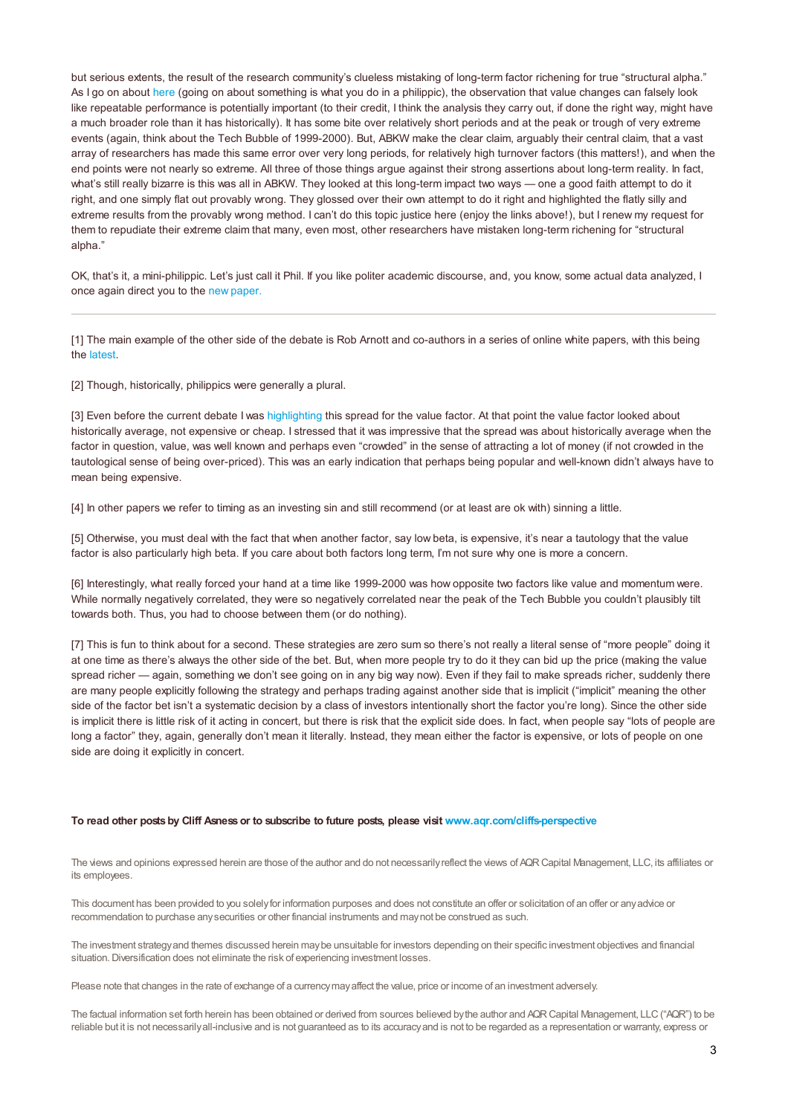but serious extents, the result of the research community's clueless mistaking of long-term factor richening for true "structural alpha." As I go on about [here](/cliffs-perspective/my-factor-philippic) (going on about something is what you do in a philippic), the observation that value changes can falsely look like repeatable performance is potentially important (to their credit, I think the analysis they carry out, if done the right way, might have a much broader role than it has historically). It has some bite over relatively short periods and at the peak or trough of very extreme events (again, think about the Tech Bubble of 1999-2000). But, ABKW make the clear claim, arguably their central claim, that a vast array of researchers has made this same error over very long periods, for relatively high turnover factors (this matters!), and when the end points were not nearly so extreme. All three of those things argue against their strong assertions about long-term reality. In fact, what's still really bizarre is this was all in ABKW. They looked at this long-term impact two ways — one a good faith attempt to do it right, and one simply flat out provably wrong. They glossed over their own attempt to do it right and highlighted the flatly silly and extreme results from the provably wrong method. I can't do this topic justice here (enjoy the links above!), but I renew my request for them to repudiate their extreme claim that many, even most, other researchers have mistaken long-term richening for "structural alpha."

OK, that's it, a mini-philippic. Let's just call it Phil. If you like politer academic discourse, and, you know, some actual data analyzed, I once again direct you to the new [paper.](https://papers.ssrn.com/sol3/papers.cfm?abstract_id=2928945)

[1] The main example of the other side of the debate is Rob Arnott and co-authors in a series of online white papers, with this being the [latest](https://www.researchaffiliates.com/en_us/publications/articles/595-forecasting-factor-and-smart-beta-returns.html).

[2] Though, historically, philippics were generally a plural.

[3] Even before the current debate I was [highlighting](/cliffs-perspective/how-can-a-strategy-still-work-if-everyone-knows-about-it) this spread for the value factor. At that point the value factor looked about historically average, not expensive or cheap. I stressed that it was impressive that the spread was about historically average when the factor in question, value, was well known and perhaps even "crowded" in the sense of attracting a lot of money (if not crowded in the tautological sense of being over-priced). This was an early indication that perhaps being popular and well-known didn't always have to mean being expensive.

[4] In other papers we refer to timing as an investing sin and still recommend (or at least are ok with) sinning a little.

[5] Otherwise, you must deal with the fact that when another factor, say low beta, is expensive, it's near a tautology that the value factor is also particularly high beta. If you care about both factors long term, I'm not sure why one is more a concern.

[6] Interestingly, what really forced your hand at a time like 1999-2000 was how opposite two factors like value and momentum were. While normally negatively correlated, they were so negatively correlated near the peak of the Tech Bubble you couldn't plausibly tilt towards both. Thus, you had to choose between them (or do nothing).

[7] This is fun to think about for a second. These strategies are zero sum so there's not really a literal sense of "more people" doing it at one time as there's always the other side of the bet. But, when more people try to do it they can bid up the price (making the value spread richer — again, something we don't see going on in any big way now). Even if they fail to make spreads richer, suddenly there are many people explicitly following the strategy and perhaps trading against another side that is implicit ("implicit" meaning the other side of the factor bet isn't a systematic decision by a class of investors intentionally short the factor you're long). Since the other side is implicit there is little risk of it acting in concert, but there is risk that the explicit side does. In fact, when people say "lots of people are long a factor" they, again, generally don't mean it literally. Instead, they mean either the factor is expensive, or lots of people on one side are doing it explicitly in concert.

## **To read other postsby Cliff Asnessor to subscribe to future posts, please visit <www.aqr.com/cliffs-perspective>**

The views and opinions expressed herein are those of the author and do not necessarily reflect the views of AQR Capital Management, LLC, its affiliates or its employees.

This document has been provided to you solelyfor information purposes and does not constitute an offer or solicitation of an offer or anyadvice or recommendation to purchase anysecurities or other financial instruments and maynot be construed as such.

The investment strategyand themes discussed herein maybe unsuitable for investors depending on their specific investment objectives and financial situation. Diversification does not eliminate the risk of experiencing investment losses.

Please note that changes in the rate of exchange of a currencymayaffect the value, price or income of an investment adversely.

The factual information set forth herein has been obtained or derived from sources believed bythe author and AQRCapital Management, LLC("AQR") to be reliable but it is not necessarilyall-inclusive and is not guaranteed as to its accuracyand is not to be regarded as a representation or warranty, express or